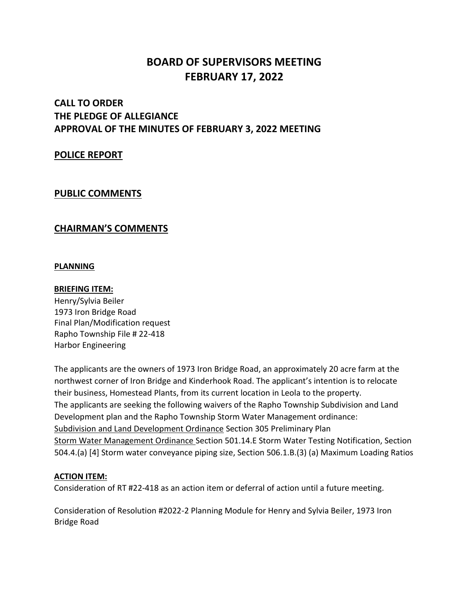# **BOARD OF SUPERVISORS MEETING FEBRUARY 17, 2022**

## **CALL TO ORDER THE PLEDGE OF ALLEGIANCE APPROVAL OF THE MINUTES OF FEBRUARY 3, 2022 MEETING**

### **POLICE REPORT**

### **PUBLIC COMMENTS**

### **CHAIRMAN'S COMMENTS**

#### **PLANNING**

#### **BRIEFING ITEM:**

Henry/Sylvia Beiler 1973 Iron Bridge Road Final Plan/Modification request Rapho Township File # 22-418 Harbor Engineering

The applicants are the owners of 1973 Iron Bridge Road, an approximately 20 acre farm at the northwest corner of Iron Bridge and Kinderhook Road. The applicant's intention is to relocate their business, Homestead Plants, from its current location in Leola to the property. The applicants are seeking the following waivers of the Rapho Township Subdivision and Land Development plan and the Rapho Township Storm Water Management ordinance: Subdivision and Land Development Ordinance Section 305 Preliminary Plan Storm Water Management Ordinance Section 501.14.E Storm Water Testing Notification, Section 504.4.(a) [4] Storm water conveyance piping size, Section 506.1.B.(3) (a) Maximum Loading Ratios

#### **ACTION ITEM:**

Consideration of RT #22-418 as an action item or deferral of action until a future meeting.

Consideration of Resolution #2022-2 Planning Module for Henry and Sylvia Beiler, 1973 Iron Bridge Road